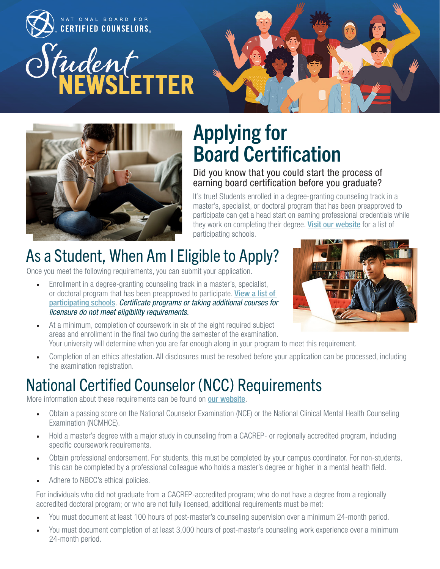



## Applying for Board Certification

#### Did you know that you could start the process of earning board certification before you graduate?

It's true! Students enrolled in a degree-granting counseling track in a master's, specialist, or doctoral program that has been preapproved to participate can get a head start on earning professional credentials while they work on completing their degree. [Visit our website](http://nbcc.org/resources/applicants/faculty) for a list of participating schools.

### As a Student, When Am I Eligible to Apply?

Once you meet the following requirements, you can submit your application.

• Enrollment in a degree-granting counseling track in a master's, specialist, or doctoral program that has been preapproved to participate. **View a list of** [participating schools](http://nbcc.org/resources/applicants/faculty). *Certificate programs or taking additional courses for licensure do not meet eligibility requirements.*



- At a minimum, completion of coursework in six of the eight required subject areas and enrollment in the final two during the semester of the examination. Your university will determine when you are far enough along in your program to meet this requirement.
- Completion of an ethics attestation. All disclosures must be resolved before your application can be processed, including the examination registration.

### National Certified Counselor (NCC) Requirements

More information about these requirements can be found on **[our website](https://www.nbcc.org/certification/ncc)**.

- Obtain a passing score on the National Counselor Examination (NCE) or the National Clinical Mental Health Counseling Examination (NCMHCE).
- Hold a master's degree with a major study in counseling from a CACREP- or regionally accredited program, including specific coursework requirements.
- Obtain professional endorsement. For students, this must be completed by your campus coordinator. For non-students, this can be completed by a professional colleague who holds a master's degree or higher in a mental health field.
- Adhere to NBCC's ethical policies.

For individuals who did not graduate from a CACREP-accredited program; who do not have a degree from a regionally accredited doctoral program; or who are not fully licensed, additional requirements must be met:

- You must document at least 100 hours of post-master's counseling supervision over a minimum 24-month period.
- You must document completion of at least 3,000 hours of post-master's counseling work experience over a minimum 24-month period.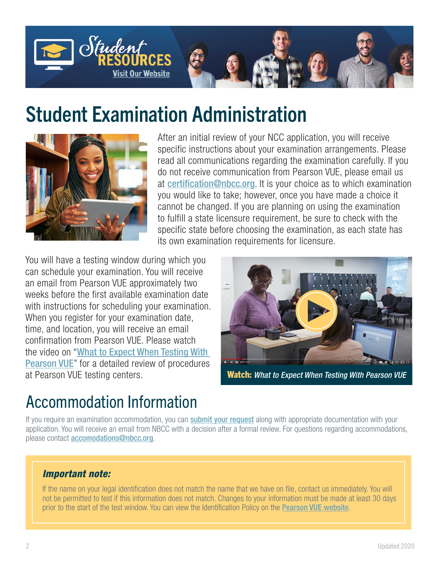

### Student Examination Administration



After an initial review of your NCC application, you will receive specific instructions about your examination arrangements. Please read all communications regarding the examination carefully. If you do not receive communication from Pearson VUE, please email us at [certification@nbcc.org](mailto:certification%40nbcc.org?subject=). It is your choice as to which examination you would like to take; however, once you have made a choice it cannot be changed. If you are planning on using the examination to fulfill a state licensure requirement, be sure to check with the specific state before choosing the examination, as each state has its own examination requirements for licensure.

You will have a testing window during which you can schedule your examination. You will receive an email from Pearson VUE approximately two weeks before the first available examination date with instructions for scheduling your examination. When you register for your examination date. time, and location, you will receive an email confirmation from Pearson VUE. Please watch the video on "[What to Expect When Testing With](https://www.youtube.com/watch?v=hlXNdQl2W1g&feature=youtu.be)  [Pearson VUE](https://www.youtube.com/watch?v=hlXNdQl2W1g&feature=youtu.be)" for a detailed review of procedures at Pearson VUE testing centers.



Watch: *[What to Expect When Testing With Pearson VUE](https://www.youtube.com/watch?v=hlXNdQl2W1g&feature=youtu.be)*

#### Accommodation Information

If you require an examination accommodation, you can **submit your request** along with appropriate documentation with your application. You will receive an email from NBCC with a decision after a formal review. For questions regarding accommodations, please contact **[accomodations@nbcc.org](mailto:accomodations@nbcc.org)**.

#### *Important note:*

If the name on your legal identification does not match the name that we have on file, contact us immediately. You will not be permitted to test if this information does not match. Changes to your information must be made at least 30 days prior to the start of the test window. You can view the Identification Policy on the [Pearson VUE website](https://home.pearsonvue.com/nbcc).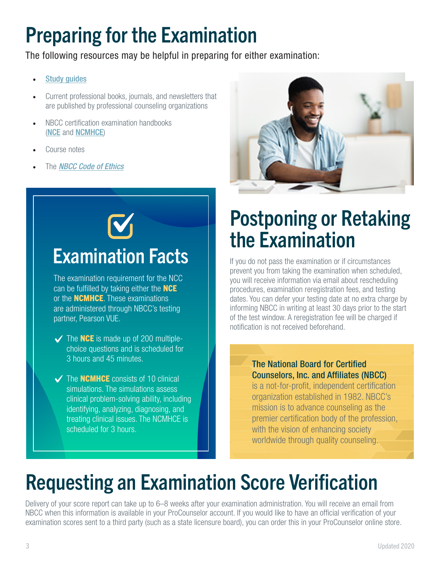## Preparing for the Examination

The following resources may be helpful in preparing for either examination:

- **[Study guides](http://www.nbcc.org/Exams/ExamPrep)**
- Current professional books, journals, and newsletters that are published by professional counseling organizations
- NBCC certification examination handbooks ([NCE](http://www.nbcc.org/Assets/Exam/Handbooks/NCE.pdf) and [NCMHCE](http://www.nbcc.org/Assets/Exam/Handbooks/NCMHCE.pdf))
- Course notes
- The *[NBCC Code of Ethics](http://www.nbcc.org/Ethics)*





## Examination Facts

The examination requirement for the NCC can be fulfilled by taking either the **NCE** or the **NCMHCE**. These examinations are administered through NBCC's testing partner, Pearson VUE.

- $\checkmark$  The **NCE** is made up of 200 multiplechoice questions and is scheduled for 3 hours and 45 minutes.
- $\checkmark$  The **NCMHCE** consists of 10 clinical simulations. The simulations assess clinical problem-solving ability, including identifying, analyzing, diagnosing, and treating clinical issues. The NCMHCE is scheduled for 3 hours.

## Postponing or Retaking the Examination

If you do not pass the examination or if circumstances prevent you from taking the examination when scheduled, you will receive information via email about rescheduling procedures, examination reregistration fees, and testing dates. You can defer your testing date at no extra charge by informing NBCC in writing at least 30 days prior to the start of the test window. A reregistration fee will be charged if notification is not received beforehand.

#### The National Board for Certified Counselors, Inc. and Affiliates (NBCC)

is a not-for-profit, independent certification organization established in 1982. NBCC's mission is to advance counseling as the premier certification body of the profession, with the vision of enhancing society worldwide through quality counseling.

# Requesting an Examination Score Verification

Delivery of your score report can take up to 6–8 weeks after your examination administration. You will receive an email from NBCC when this information is available in your ProCounselor account. If you would like to have an official verification of your examination scores sent to a third party (such as a state licensure board), you can order this in your ProCounselor online store.